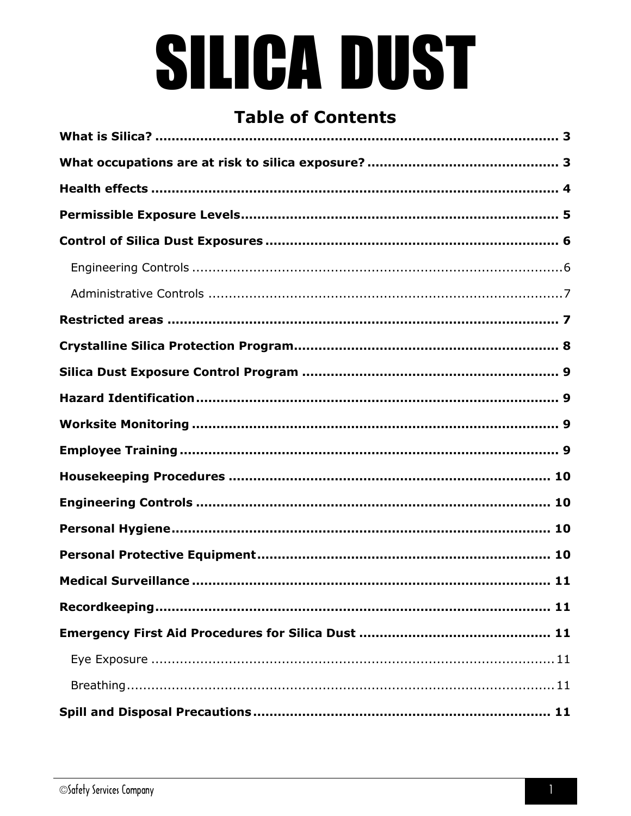# SILICA DUST

## **Table of Contents**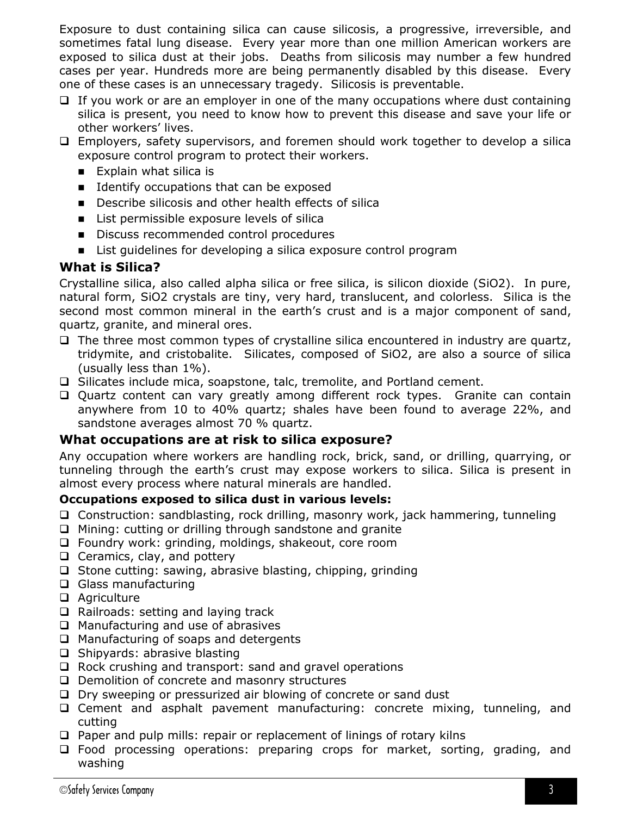Exposure to dust containing silica can cause silicosis, a progressive, irreversible, and sometimes fatal lung disease. Every year more than one million American workers are exposed to silica dust at their jobs. Deaths from silicosis may number a few hundred cases per year. Hundreds more are being permanently disabled by this disease. Every one of these cases is an unnecessary tragedy. Silicosis is preventable.

- $\Box$  If you work or are an employer in one of the many occupations where dust containing silica is present, you need to know how to prevent this disease and save your life or other workers' lives.
- Employers, safety supervisors, and foremen should work together to develop a silica exposure control program to protect their workers.
	- **Explain what silica is**
	- **IDENTIFY OCCUPATIONS that can be exposed**
	- Describe silicosis and other health effects of silica
	- List permissible exposure levels of silica
	- Discuss recommended control procedures
	- **EXECT** List guidelines for developing a silica exposure control program

#### <span id="page-2-0"></span>**What is Silica?**

Crystalline silica, also called alpha silica or free silica, is silicon dioxide (SiO2). In pure, natural form, SiO2 crystals are tiny, very hard, translucent, and colorless. Silica is the second most common mineral in the earth's crust and is a major component of sand, quartz, granite, and mineral ores.

- $\Box$  The three most common types of crystalline silica encountered in industry are quartz, tridymite, and cristobalite. Silicates, composed of SiO2, are also a source of silica (usually less than 1%).
- □ Silicates include mica, soapstone, talc, tremolite, and Portland cement.
- Quartz content can vary greatly among different rock types. Granite can contain anywhere from 10 to 40% quartz; shales have been found to average 22%, and sandstone averages almost 70 % quartz.

#### <span id="page-2-1"></span>**What occupations are at risk to silica exposure?**

Any occupation where workers are handling rock, brick, sand, or drilling, quarrying, or tunneling through the earth's crust may expose workers to silica. Silica is present in almost every process where natural minerals are handled.

#### **Occupations exposed to silica dust in various levels:**

- Construction: sandblasting, rock drilling, masonry work, jack hammering, tunneling
- $\Box$  Mining: cutting or drilling through sandstone and granite
- □ Foundry work: grinding, moldings, shakeout, core room
- $\Box$  Ceramics, clay, and pottery
- $\square$  Stone cutting: sawing, abrasive blasting, chipping, grinding
- □ Glass manufacturing
- □ Agriculture
- $\Box$  Railroads: setting and laying track
- $\Box$  Manufacturing and use of abrasives
- $\Box$  Manufacturing of soaps and detergents
- $\Box$  Shipyards: abrasive blasting
- □ Rock crushing and transport: sand and gravel operations
- $\Box$  Demolition of concrete and masonry structures
- Dry sweeping or pressurized air blowing of concrete or sand dust
- Cement and asphalt pavement manufacturing: concrete mixing, tunneling, and cutting
- $\Box$  Paper and pulp mills: repair or replacement of linings of rotary kilns
- Food processing operations: preparing crops for market, sorting, grading, and washing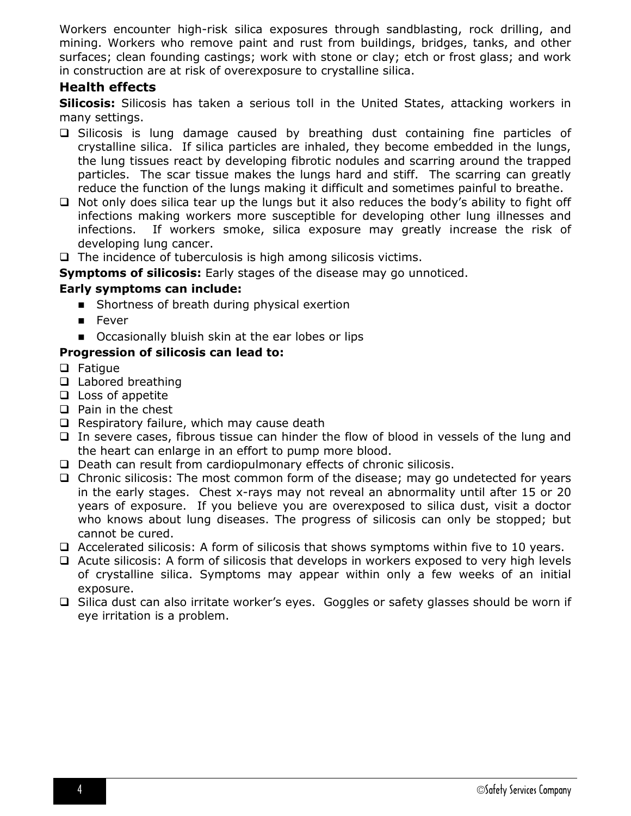Workers encounter high-risk silica exposures through sandblasting, rock drilling, and mining. Workers who remove paint and rust from buildings, bridges, tanks, and other surfaces; clean founding castings; work with stone or clay; etch or frost glass; and work in construction are at risk of overexposure to crystalline silica.

#### <span id="page-3-0"></span>**Health effects**

**Silicosis:** Silicosis has taken a serious toll in the United States, attacking workers in many settings.

- Silicosis is lung damage caused by breathing dust containing fine particles of crystalline silica. If silica particles are inhaled, they become embedded in the lungs, the lung tissues react by developing fibrotic nodules and scarring around the trapped particles. The scar tissue makes the lungs hard and stiff. The scarring can greatly reduce the function of the lungs making it difficult and sometimes painful to breathe.
- $\Box$  Not only does silica tear up the lungs but it also reduces the body's ability to fight off infections making workers more susceptible for developing other lung illnesses and infections. If workers smoke, silica exposure may greatly increase the risk of developing lung cancer.
- $\Box$  The incidence of tuberculosis is high among silicosis victims.

**Symptoms of silicosis:** Early stages of the disease may go unnoticed.

#### **Early symptoms can include:**

- Shortness of breath during physical exertion
- **E** Fever
- Occasionally bluish skin at the ear lobes or lips

#### **Progression of silicosis can lead to:**

- **Q** Fatigue
- □ Labored breathing
- $\Box$  Loss of appetite
- $\Box$  Pain in the chest
- $\Box$  Respiratory failure, which may cause death
- $\Box$  In severe cases, fibrous tissue can hinder the flow of blood in vessels of the lung and the heart can enlarge in an effort to pump more blood.
- $\Box$  Death can result from cardiopulmonary effects of chronic silicosis.
- $\Box$  Chronic silicosis: The most common form of the disease; may go undetected for years in the early stages. Chest x-rays may not reveal an abnormality until after 15 or 20 years of exposure. If you believe you are overexposed to silica dust, visit a doctor who knows about lung diseases. The progress of silicosis can only be stopped; but cannot be cured.
- $\Box$  Accelerated silicosis: A form of silicosis that shows symptoms within five to 10 years.
- Acute silicosis: A form of silicosis that develops in workers exposed to very high levels of crystalline silica. Symptoms may appear within only a few weeks of an initial exposure.
- $\square$  Silica dust can also irritate worker's eyes. Goggles or safety glasses should be worn if eye irritation is a problem.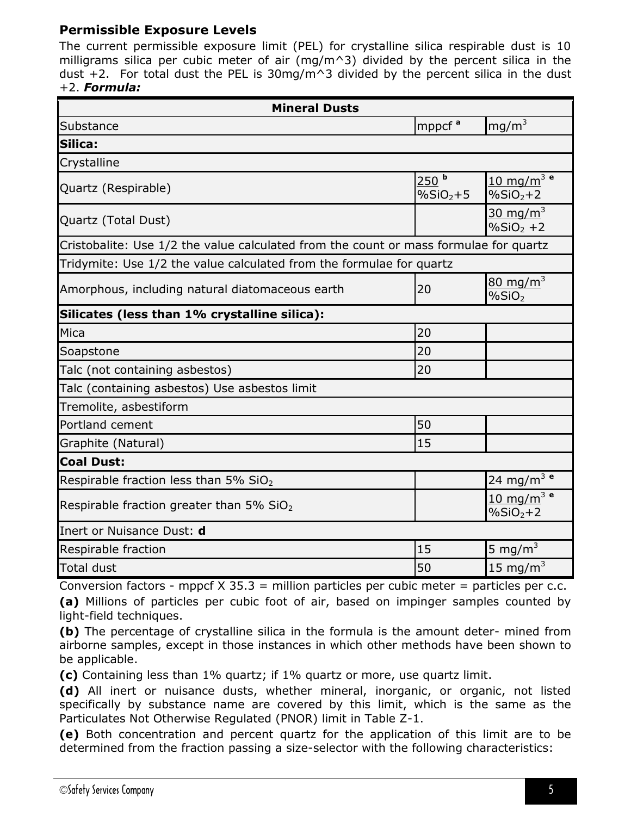#### <span id="page-4-0"></span>**Permissible Exposure Levels**

The current permissible exposure limit (PEL) for crystalline silica respirable dust is 10 milligrams silica per cubic meter of air (mg/m^3) divided by the percent silica in the dust  $+2$ . For total dust the PEL is 30mg/m<sup> $\land$ </sup>3 divided by the percent silica in the dust +2. *Formula:*

| <b>Mineral Dusts</b>                                                                  |                                              |                                                    |  |
|---------------------------------------------------------------------------------------|----------------------------------------------|----------------------------------------------------|--|
| mppcf <sup>a</sup><br>mg/m <sup>3</sup><br>Substance                                  |                                              |                                                    |  |
| Silica:                                                                               |                                              |                                                    |  |
| Crystalline                                                                           |                                              |                                                    |  |
| Quartz (Respirable)                                                                   | 250 <sup>b</sup><br>$\%$ SiO <sub>2</sub> +5 | 10 mg/m <sup>3</sup> e<br>$%SiO2+2$                |  |
| $30 \text{ mg/m}^3$<br>Quartz (Total Dust)<br>$%SiO2 +2$                              |                                              |                                                    |  |
| Cristobalite: Use 1/2 the value calculated from the count or mass formulae for quartz |                                              |                                                    |  |
| Tridymite: Use 1/2 the value calculated from the formulae for quartz                  |                                              |                                                    |  |
| Amorphous, including natural diatomaceous earth                                       | 20                                           | $80 \text{ mg/m}^3$<br>%SiO <sub>2</sub>           |  |
| Silicates (less than 1% crystalline silica):                                          |                                              |                                                    |  |
| Mica                                                                                  | 20                                           |                                                    |  |
| Soapstone                                                                             | 20                                           |                                                    |  |
| Talc (not containing asbestos)                                                        | 20                                           |                                                    |  |
| Talc (containing asbestos) Use asbestos limit                                         |                                              |                                                    |  |
| Tremolite, asbestiform                                                                |                                              |                                                    |  |
| Portland cement                                                                       | 50                                           |                                                    |  |
| Graphite (Natural)                                                                    | 15                                           |                                                    |  |
| <b>Coal Dust:</b>                                                                     |                                              |                                                    |  |
| Respirable fraction less than 5% SiO <sub>2</sub>                                     |                                              | 24 mg/m <sup>3</sup> e                             |  |
| Respirable fraction greater than 5% $SiO2$                                            |                                              | 10 mg/m <sup>3</sup> e<br>$\%$ SiO <sub>2</sub> +2 |  |
| Inert or Nuisance Dust: d                                                             |                                              |                                                    |  |
| Respirable fraction                                                                   | 15                                           | 5 mg/ $m3$                                         |  |
| <b>Total dust</b>                                                                     | 50                                           | 15 mg/m $3$                                        |  |

Conversion factors - mppcf  $X$  35.3 = million particles per cubic meter = particles per c.c. **(a)** Millions of particles per cubic foot of air, based on impinger samples counted by light-field techniques.

**(b)** The percentage of crystalline silica in the formula is the amount deter- mined from airborne samples, except in those instances in which other methods have been shown to be applicable.

**(c)** Containing less than 1% quartz; if 1% quartz or more, use quartz limit.

**(d)** All inert or nuisance dusts, whether mineral, inorganic, or organic, not listed specifically by substance name are covered by this limit, which is the same as the Particulates Not Otherwise Regulated (PNOR) limit in Table Z-1.

**(e)** Both concentration and percent quartz for the application of this limit are to be determined from the fraction passing a size-selector with the following characteristics: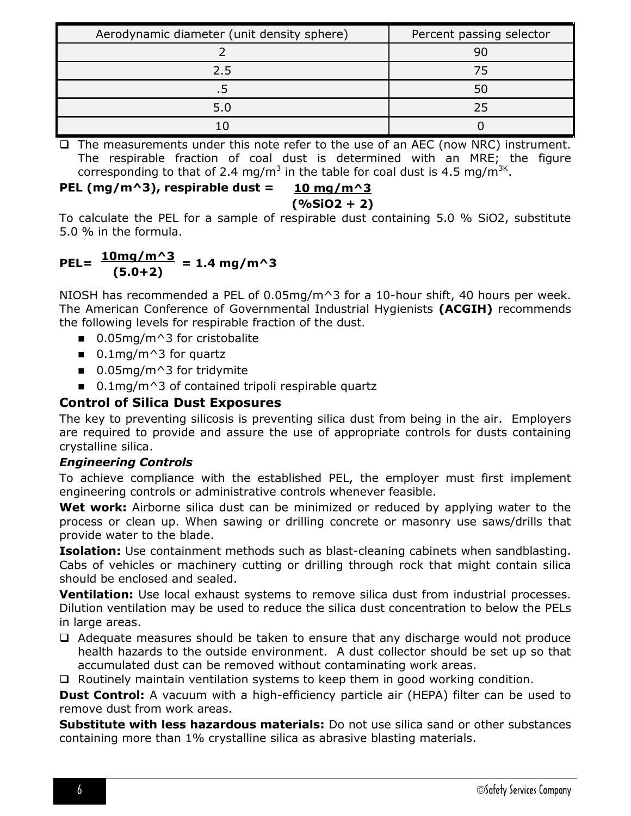| Aerodynamic diameter (unit density sphere) | Percent passing selector |
|--------------------------------------------|--------------------------|
|                                            | 90                       |
| 2.5                                        |                          |
|                                            |                          |
| 5.0                                        | フら                       |
|                                            |                          |

 $\Box$  The measurements under this note refer to the use of an AEC (now NRC) instrument. The respirable fraction of coal dust is determined with an MRE; the figure corresponding to that of 2.4 mg/m<sup>3</sup> in the table for coal dust is 4.5 mg/m<sup>3K</sup>.

#### **PEL (mg/m^3), respirable dust = 10 mg/m^3**

**(%SiO2 + 2)**

To calculate the PEL for a sample of respirable dust containing 5.0 % SiO2, substitute 5.0 % in the formula.

#### $PEL = \frac{10mg/m^{3}}{100} = 1.4 mg/m^{3}$ **(5.0+2)**

NIOSH has recommended a PEL of 0.05mg/m^3 for a 10-hour shift, 40 hours per week. The American Conference of Governmental Industrial Hygienists **(ACGIH)** recommends the following levels for respirable fraction of the dust.

- $\Box$  0.05mg/m<sup> $\land$ </sup>3 for cristobalite
- $\blacksquare$  0.1mg/m<sup> $\land$ </sup>3 for quartz
- $\blacksquare$  0.05mg/m<sup> $\land$ </sup>3 for tridymite
- $\blacksquare$  0.1mg/m^3 of contained tripoli respirable quartz

#### <span id="page-5-0"></span>**Control of Silica Dust Exposures**

The key to preventing silicosis is preventing silica dust from being in the air. Employers are required to provide and assure the use of appropriate controls for dusts containing crystalline silica.

#### <span id="page-5-1"></span>*Engineering Controls*

To achieve compliance with the established PEL, the employer must first implement engineering controls or administrative controls whenever feasible.

**Wet work:** Airborne silica dust can be minimized or reduced by applying water to the process or clean up. When sawing or drilling concrete or masonry use saws/drills that provide water to the blade.

**Isolation:** Use containment methods such as blast-cleaning cabinets when sandblasting. Cabs of vehicles or machinery cutting or drilling through rock that might contain silica should be enclosed and sealed.

**Ventilation:** Use local exhaust systems to remove silica dust from industrial processes. Dilution ventilation may be used to reduce the silica dust concentration to below the PELs in large areas.

 $\Box$  Adequate measures should be taken to ensure that any discharge would not produce health hazards to the outside environment. A dust collector should be set up so that accumulated dust can be removed without contaminating work areas.

 $\Box$  Routinely maintain ventilation systems to keep them in good working condition.

**Dust Control:** A vacuum with a high-efficiency particle air (HEPA) filter can be used to remove dust from work areas.

**Substitute with less hazardous materials:** Do not use silica sand or other substances containing more than 1% crystalline silica as abrasive blasting materials.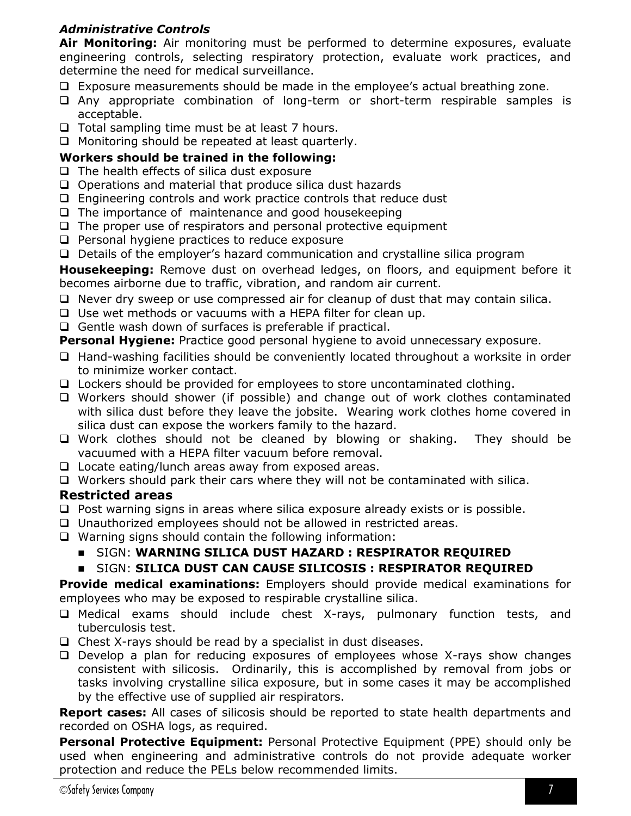#### <span id="page-6-0"></span>*Administrative Controls*

**Air Monitoring:** Air monitoring must be performed to determine exposures, evaluate engineering controls, selecting respiratory protection, evaluate work practices, and determine the need for medical surveillance.

- $\Box$  Exposure measurements should be made in the employee's actual breathing zone.
- Any appropriate combination of long-term or short-term respirable samples is acceptable.
- $\Box$  Total sampling time must be at least 7 hours.
- $\Box$  Monitoring should be repeated at least quarterly.

#### **Workers should be trained in the following:**

- $\Box$  The health effects of silica dust exposure
- $\Box$  Operations and material that produce silica dust hazards
- $\Box$  Engineering controls and work practice controls that reduce dust
- $\Box$  The importance of maintenance and good housekeeping
- $\Box$  The proper use of respirators and personal protective equipment
- $\Box$  Personal hygiene practices to reduce exposure
- Details of the employer's hazard communication and crystalline silica program

**Housekeeping:** Remove dust on overhead ledges, on floors, and equipment before it becomes airborne due to traffic, vibration, and random air current.

- $\Box$  Never dry sweep or use compressed air for cleanup of dust that may contain silica.
- □ Use wet methods or vacuums with a HEPA filter for clean up.
- $\Box$  Gentle wash down of surfaces is preferable if practical.

**Personal Hygiene:** Practice good personal hygiene to avoid unnecessary exposure.

- $\Box$  Hand-washing facilities should be conveniently located throughout a worksite in order to minimize worker contact.
- $\Box$  Lockers should be provided for employees to store uncontaminated clothing.
- Workers should shower (if possible) and change out of work clothes contaminated with silica dust before they leave the jobsite. Wearing work clothes home covered in silica dust can expose the workers family to the hazard.
- □ Work clothes should not be cleaned by blowing or shaking. They should be vacuumed with a HEPA filter vacuum before removal.
- $\Box$  Locate eating/lunch areas away from exposed areas.
- $\Box$  Workers should park their cars where they will not be contaminated with silica.

#### <span id="page-6-1"></span>**Restricted areas**

- $\Box$  Post warning signs in areas where silica exposure already exists or is possible.
- Unauthorized employees should not be allowed in restricted areas.
- $\Box$  Warning signs should contain the following information:

#### SIGN: **WARNING SILICA DUST HAZARD : RESPIRATOR REQUIRED**

#### SIGN: **SILICA DUST CAN CAUSE SILICOSIS : RESPIRATOR REQUIRED**

**Provide medical examinations:** Employers should provide medical examinations for employees who may be exposed to respirable crystalline silica.

- Medical exams should include chest X-rays, pulmonary function tests, and tuberculosis test.
- $\Box$  Chest X-rays should be read by a specialist in dust diseases.
- $\Box$  Develop a plan for reducing exposures of employees whose X-rays show changes consistent with silicosis. Ordinarily, this is accomplished by removal from jobs or tasks involving crystalline silica exposure, but in some cases it may be accomplished by the effective use of supplied air respirators.

**Report cases:** All cases of silicosis should be reported to state health departments and recorded on OSHA logs, as required.

**Personal Protective Equipment:** Personal Protective Equipment (PPE) should only be used when engineering and administrative controls do not provide adequate worker protection and reduce the PELs below recommended limits.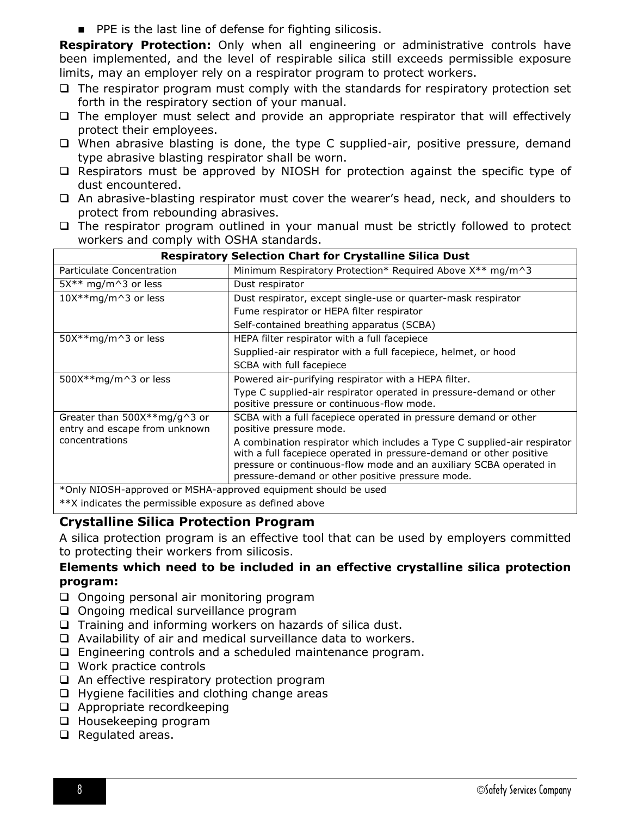**PPE is the last line of defense for fighting silicosis.** 

**Respiratory Protection:** Only when all engineering or administrative controls have been implemented, and the level of respirable silica still exceeds permissible exposure limits, may an employer rely on a respirator program to protect workers.

- $\Box$  The respirator program must comply with the standards for respiratory protection set forth in the respiratory section of your manual.
- $\Box$  The employer must select and provide an appropriate respirator that will effectively protect their employees.
- $\Box$  When abrasive blasting is done, the type C supplied-air, positive pressure, demand type abrasive blasting respirator shall be worn.
- $\Box$  Respirators must be approved by NIOSH for protection against the specific type of dust encountered.
- $\Box$  An abrasive-blasting respirator must cover the wearer's head, neck, and shoulders to protect from rebounding abrasives.
- $\Box$  The respirator program outlined in your manual must be strictly followed to protect workers and comply with OSHA standards.

| <b>Respiratory Selection Chart for Crystalline Silica Dust</b>  |                                                                                                                                                                                                                                                                           |  |
|-----------------------------------------------------------------|---------------------------------------------------------------------------------------------------------------------------------------------------------------------------------------------------------------------------------------------------------------------------|--|
| Particulate Concentration                                       | Minimum Respiratory Protection* Required Above X** mg/m^3                                                                                                                                                                                                                 |  |
| $5X^{**}$ mg/m^3 or less                                        | Dust respirator                                                                                                                                                                                                                                                           |  |
| 10X**mg/m^3 or less                                             | Dust respirator, except single-use or quarter-mask respirator                                                                                                                                                                                                             |  |
|                                                                 | Fume respirator or HEPA filter respirator                                                                                                                                                                                                                                 |  |
|                                                                 | Self-contained breathing apparatus (SCBA)                                                                                                                                                                                                                                 |  |
| $50X**mg/m^3$ or less                                           | HEPA filter respirator with a full facepiece                                                                                                                                                                                                                              |  |
|                                                                 | Supplied-air respirator with a full facepiece, helmet, or hood                                                                                                                                                                                                            |  |
|                                                                 | SCBA with full facepiece                                                                                                                                                                                                                                                  |  |
| 500X**mg/m^3 or less                                            | Powered air-purifying respirator with a HEPA filter.                                                                                                                                                                                                                      |  |
|                                                                 | Type C supplied-air respirator operated in pressure-demand or other<br>positive pressure or continuous-flow mode.                                                                                                                                                         |  |
| Greater than $500X**mg/g^3$ or<br>entry and escape from unknown | SCBA with a full facepiece operated in pressure demand or other<br>positive pressure mode.                                                                                                                                                                                |  |
| concentrations                                                  | A combination respirator which includes a Type C supplied-air respirator<br>with a full facepiece operated in pressure-demand or other positive<br>pressure or continuous-flow mode and an auxiliary SCBA operated in<br>pressure-demand or other positive pressure mode. |  |
| *Only NIOSH-approved or MSHA-approved equipment should be used  |                                                                                                                                                                                                                                                                           |  |

\*\*X indicates the permissible exposure as defined above

#### <span id="page-7-0"></span>**Crystalline Silica Protection Program**

A silica protection program is an effective tool that can be used by employers committed to protecting their workers from silicosis.

#### **Elements which need to be included in an effective crystalline silica protection program:**

- $\Box$  Ongoing personal air monitoring program
- $\Box$  Ongoing medical surveillance program
- $\Box$  Training and informing workers on hazards of silica dust.
- $\Box$  Availability of air and medical surveillance data to workers.
- Engineering controls and a scheduled maintenance program.
- □ Work practice controls
- $\Box$  An effective respiratory protection program
- $\Box$  Hygiene facilities and clothing change areas
- □ Appropriate recordkeeping
- □ Housekeeping program
- $\Box$  Regulated areas.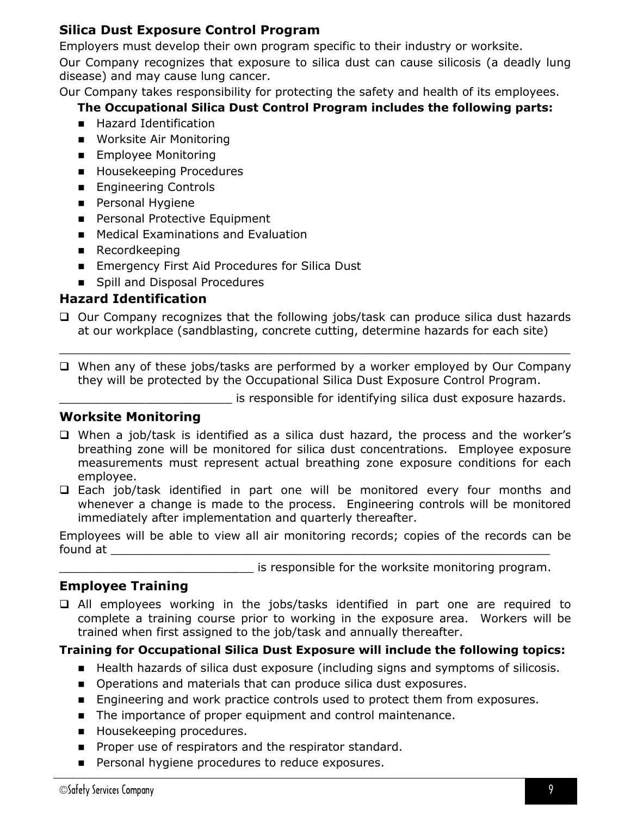#### <span id="page-8-0"></span>**Silica Dust Exposure Control Program**

Employers must develop their own program specific to their industry or worksite.

Our Company recognizes that exposure to silica dust can cause silicosis (a deadly lung disease) and may cause lung cancer.

Our Company takes responsibility for protecting the safety and health of its employees.

#### **The Occupational Silica Dust Control Program includes the following parts:**

- **Hazard Identification**
- **Norksite Air Monitoring**
- **Employee Monitoring**
- **Housekeeping Procedures**
- **Engineering Controls**
- **Personal Hygiene**
- **Personal Protective Equipment**
- **Medical Examinations and Evaluation**
- **Recordkeeping**
- **Emergency First Aid Procedures for Silica Dust**
- Spill and Disposal Procedures

#### <span id="page-8-1"></span>**Hazard Identification**

- $\Box$  Our Company recognizes that the following jobs/task can produce silica dust hazards at our workplace (sandblasting, concrete cutting, determine hazards for each site)
- $\Box$  When any of these jobs/tasks are performed by a worker employed by Our Company they will be protected by the Occupational Silica Dust Exposure Control Program.

\_\_\_\_\_\_\_\_\_\_\_\_\_\_\_\_\_\_\_\_\_\_\_\_\_\_\_\_\_\_\_\_\_\_\_\_\_\_\_\_\_\_\_\_\_\_\_\_\_\_\_\_\_\_\_\_\_\_\_\_\_\_\_\_\_\_\_\_\_\_\_

\_\_\_\_\_\_\_\_\_\_\_\_\_\_\_\_\_\_\_\_\_\_\_\_ is responsible for identifying silica dust exposure hazards.

#### <span id="page-8-2"></span>**Worksite Monitoring**

- □ When a job/task is identified as a silica dust hazard, the process and the worker's breathing zone will be monitored for silica dust concentrations. Employee exposure measurements must represent actual breathing zone exposure conditions for each employee.
- Each job/task identified in part one will be monitored every four months and whenever a change is made to the process. Engineering controls will be monitored immediately after implementation and quarterly thereafter.

Employees will be able to view all air monitoring records; copies of the records can be found at

is responsible for the worksite monitoring program.

### <span id="page-8-3"></span>**Employee Training**

 All employees working in the jobs/tasks identified in part one are required to complete a training course prior to working in the exposure area. Workers will be trained when first assigned to the job/task and annually thereafter.

#### **Training for Occupational Silica Dust Exposure will include the following topics:**

- Health hazards of silica dust exposure (including signs and symptoms of silicosis.
- **Dearations and materials that can produce silica dust exposures.**
- **Engineering and work practice controls used to protect them from exposures.**
- The importance of proper equipment and control maintenance.
- **Housekeeping procedures.**
- **Proper use of respirators and the respirator standard.**
- **Personal hygiene procedures to reduce exposures.**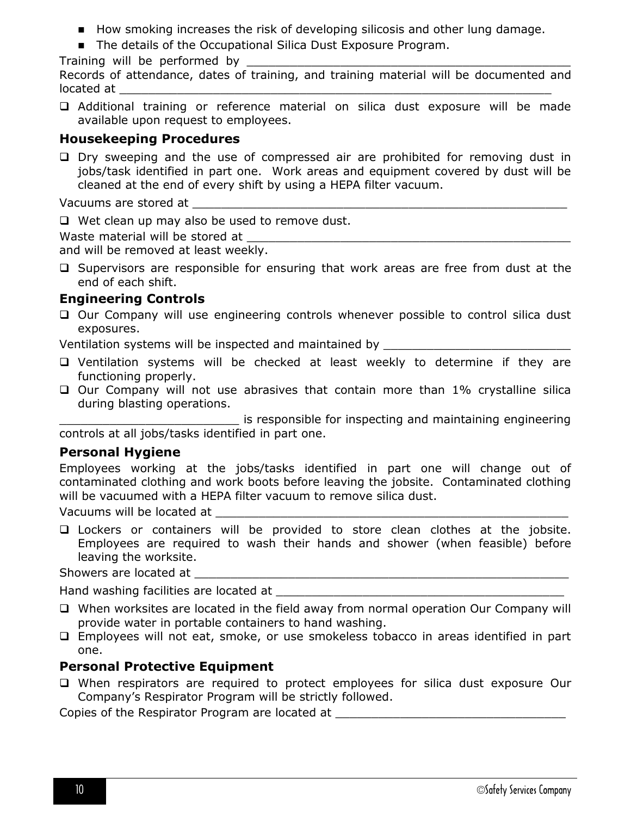- How smoking increases the risk of developing silicosis and other lung damage.
- The details of the Occupational Silica Dust Exposure Program.

Training will be performed by

Records of attendance, dates of training, and training material will be documented and located at

 Additional training or reference material on silica dust exposure will be made available upon request to employees.

#### <span id="page-9-0"></span>**Housekeeping Procedures**

 $\square$  Dry sweeping and the use of compressed air are prohibited for removing dust in jobs/task identified in part one. Work areas and equipment covered by dust will be cleaned at the end of every shift by using a HEPA filter vacuum.

Vacuums are stored at

 $\Box$  Wet clean up may also be used to remove dust.

Waste material will be stored at

and will be removed at least weekly.

 $\Box$  Supervisors are responsible for ensuring that work areas are free from dust at the end of each shift.

#### <span id="page-9-1"></span>**Engineering Controls**

 $\Box$  Our Company will use engineering controls whenever possible to control silica dust exposures.

Ventilation systems will be inspected and maintained by

- Ventilation systems will be checked at least weekly to determine if they are functioning properly.
- $\Box$  Our Company will not use abrasives that contain more than 1% crystalline silica during blasting operations.

is responsible for inspecting and maintaining engineering controls at all jobs/tasks identified in part one.

#### <span id="page-9-2"></span>**Personal Hygiene**

Employees working at the jobs/tasks identified in part one will change out of contaminated clothing and work boots before leaving the jobsite. Contaminated clothing will be vacuumed with a HEPA filter vacuum to remove silica dust.

Vacuums will be located at \_\_\_\_\_\_\_\_\_\_\_\_\_\_\_\_\_\_\_\_\_\_\_\_\_\_\_\_\_\_\_\_\_\_\_\_\_\_\_\_\_\_\_\_\_\_\_\_\_

 Lockers or containers will be provided to store clean clothes at the jobsite. Employees are required to wash their hands and shower (when feasible) before leaving the worksite.

Showers are located at

Hand washing facilities are located at

- When worksites are located in the field away from normal operation Our Company will provide water in portable containers to hand washing.
- Employees will not eat, smoke, or use smokeless tobacco in areas identified in part one.

#### <span id="page-9-3"></span>**Personal Protective Equipment**

 When respirators are required to protect employees for silica dust exposure Our Company's Respirator Program will be strictly followed.

Copies of the Respirator Program are located at \_\_\_\_\_\_\_\_\_\_\_\_\_\_\_\_\_\_\_\_\_\_\_\_\_\_\_\_\_\_\_\_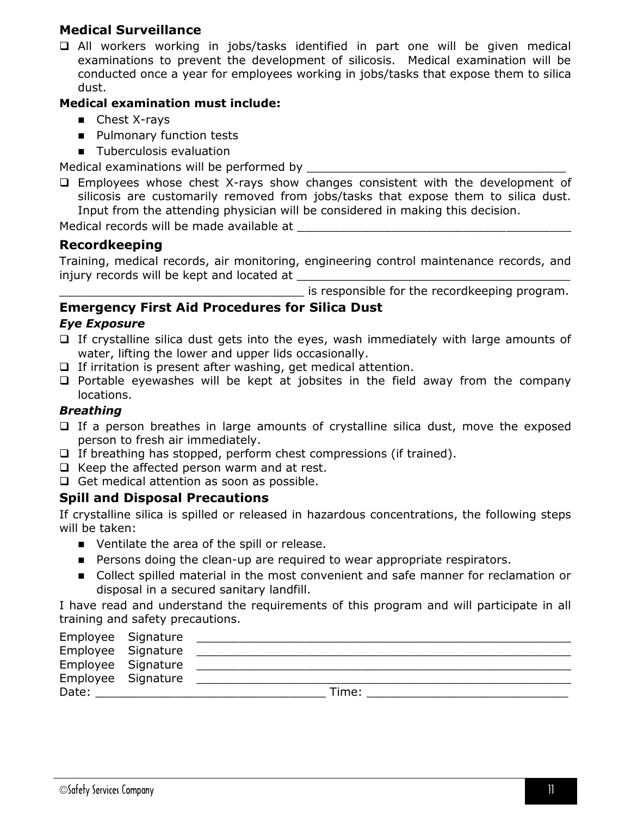#### <span id="page-10-0"></span>**Medical Surveillance**

 All workers working in jobs/tasks identified in part one will be given medical examinations to prevent the development of silicosis. Medical examination will be conducted once a year for employees working in jobs/tasks that expose them to silica dust.

#### **Medical examination must include:**

- Chest X-rays
- **Pulmonary function tests**
- **Tuberculosis evaluation**

Medical examinations will be performed by

 $\Box$  Employees whose chest X-rays show changes consistent with the development of silicosis are customarily removed from jobs/tasks that expose them to silica dust. Input from the attending physician will be considered in making this decision.

Medical records will be made available at

#### <span id="page-10-1"></span>**Recordkeeping**

Training, medical records, air monitoring, engineering control maintenance records, and injury records will be kept and located at

\_\_\_\_\_\_\_\_\_\_\_\_\_\_\_\_\_\_\_\_\_\_\_\_\_\_\_\_\_\_\_\_\_\_ is responsible for the recordkeeping program.

#### <span id="page-10-2"></span>**Emergency First Aid Procedures for Silica Dust**

#### <span id="page-10-3"></span>*Eye Exposure*

- $\Box$  If crystalline silica dust gets into the eyes, wash immediately with large amounts of water, lifting the lower and upper lids occasionally.
- $\Box$  If irritation is present after washing, get medical attention.
- $\Box$  Portable eyewashes will be kept at jobsites in the field away from the company locations.

#### <span id="page-10-4"></span>*Breathing*

- $\Box$  If a person breathes in large amounts of crystalline silica dust, move the exposed person to fresh air immediately.
- $\Box$  If breathing has stopped, perform chest compressions (if trained).
- $\Box$  Keep the affected person warm and at rest.
- $\Box$  Get medical attention as soon as possible.

#### <span id="page-10-5"></span>**Spill and Disposal Precautions**

If crystalline silica is spilled or released in hazardous concentrations, the following steps will be taken:

- Ventilate the area of the spill or release.
- **Persons doing the clean-up are required to wear appropriate respirators.**
- Collect spilled material in the most convenient and safe manner for reclamation or disposal in a secured sanitary landfill.

I have read and understand the requirements of this program and will participate in all training and safety precautions.

| Employee Signature |                    |       |
|--------------------|--------------------|-------|
|                    | Employee Signature |       |
| Employee Signature |                    |       |
| Employee Signature |                    |       |
| Date:              |                    | Time: |